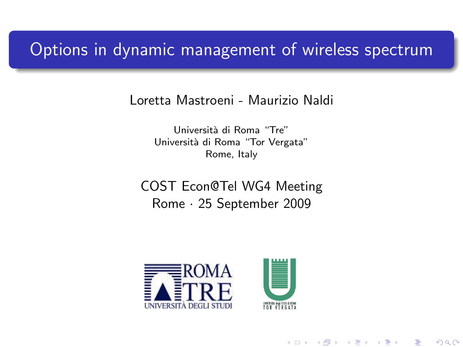## Options in dynamic management of wireless spectrum

Loretta Mastroeni - Maurizio Naldi

Universit`a di Roma "Tre" Università di Roma "Tor Vergata" Rome, Italy

COST Econ@Tel WG4 Meeting Rome · 25 September 2009

<span id="page-0-0"></span>



(ロ) (個) (星) (星)

重

 $2Q$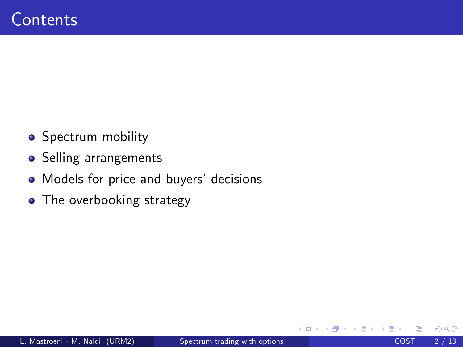- Spectrum mobility
- Selling arrangements
- Models for price and buyers' decisions
- The overbooking strategy

 $\leftarrow$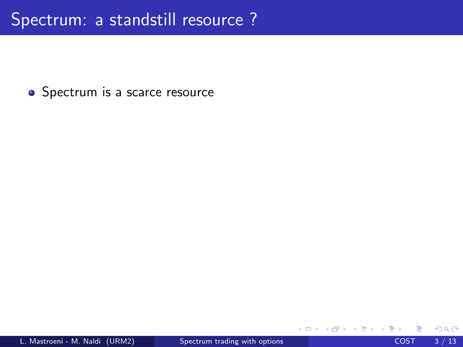• Spectrum is a scarce resource

 $\leftarrow$ 

$$
\begin{array}{rcl}\n\downarrow & \equiv & \circ \triangleleft \triangleleft \\
\text{COST} & 3 / 13\n\end{array}
$$

-4 B X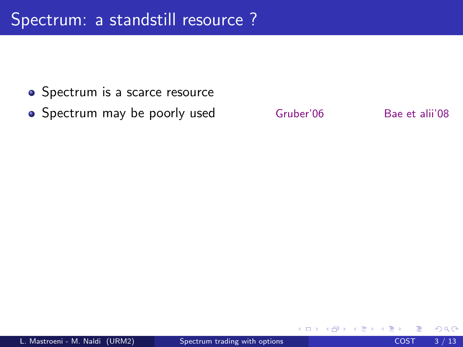- Spectrum is a scarce resource
- Spectrum may be poorly used Gruber'06 Bae et alii'08

 $\leftarrow$ 

 $QQQ$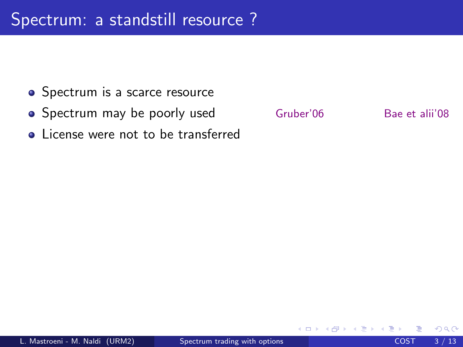- Spectrum is a scarce resource
- Spectrum may be poorly used Gruber'06 Bae et alii'08
- License were not to be transferred



 $\leftarrow$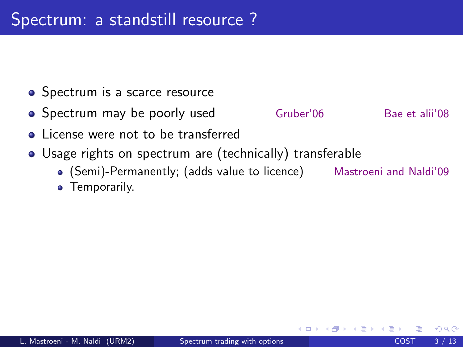- Spectrum is a scarce resource
- Spectrum may be poorly used Gruber'06 Bae et alii'08
- License were not to be transferred
- Usage rights on spectrum are (technically) transferable
	- (Semi)-Permanently; (adds value to licence) Mastroeni and Naldi'09

**•** Temporarily.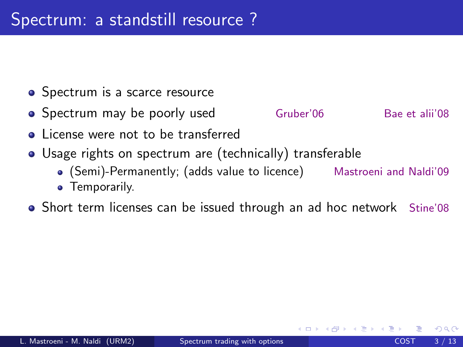- Spectrum is a scarce resource
- Spectrum may be poorly used Gruber'06 Bae et alii'08
- License were not to be transferred
- Usage rights on spectrum are (technically) transferable
	- (Semi)-Permanently; (adds value to licence) Mastroeni and Naldi'09
	- **•** Temporarily.
- Short term licenses can be issued through an ad hoc network Stine'08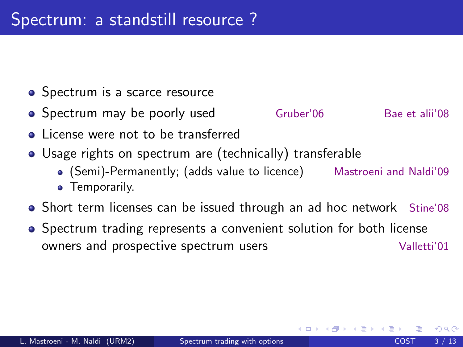- Spectrum is a scarce resource
- Spectrum may be poorly used Gruber'06 Bae et alii'08
- License were not to be transferred
- Usage rights on spectrum are (technically) transferable
	- (Semi)-Permanently; (adds value to licence) Mastroeni and Naldi'09
	- **•** Temporarily.
- Short term licenses can be issued through an ad hoc network Stine'08
- Spectrum trading represents a convenient solution for both license owners and prospective spectrum users **Valletti'01**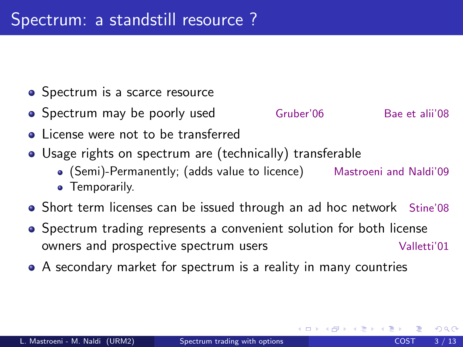- Spectrum is a scarce resource
- Spectrum may be poorly used Gruber'06 Bae et alii'08
- License were not to be transferred
- Usage rights on spectrum are (technically) transferable
	- (Semi)-Permanently; (adds value to licence) Mastroeni and Naldi'09
	- **•** Temporarily.
- Short term licenses can be issued through an ad hoc network Stine'08
- Spectrum trading represents a convenient solution for both license owners and prospective spectrum users **Valletti'01**
- A secondary market for spectrum is a reality in many countries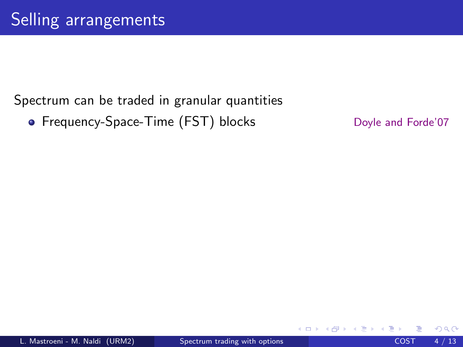## Spectrum can be traded in granular quantities

• Frequency-Space-Time (FST) blocks Doyle and Forde'07

4 0 8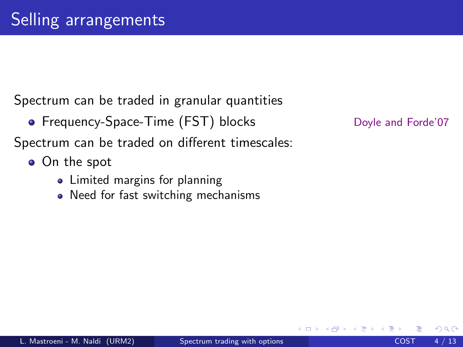Spectrum can be traded in granular quantities

• Frequency-Space-Time (FST) blocks Doyle and Forde'07

Spectrum can be traded on different timescales:

- On the spot
	- Limited margins for planning
	- Need for fast switching mechanisms

 $\leftarrow$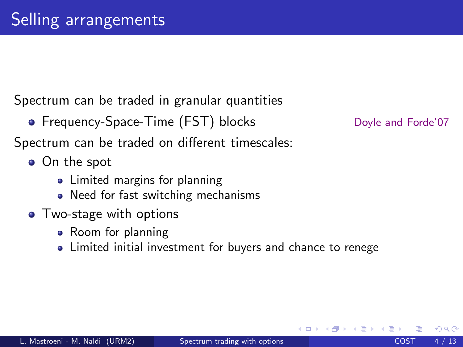Spectrum can be traded in granular quantities

• Frequency-Space-Time (FST) blocks Doyle and Forde'07

Spectrum can be traded on different timescales:

- On the spot
	- Limited margins for planning
	- Need for fast switching mechanisms
- Two-stage with options
	- Room for planning
	- Limited initial investment for buyers and chance to renege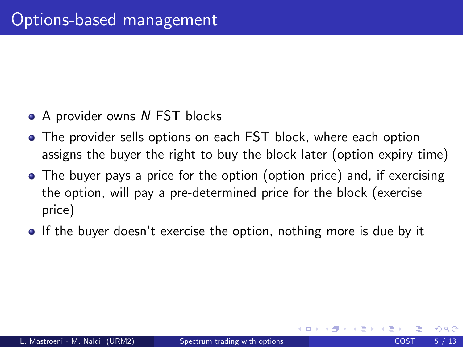- A provider owns N FST blocks
- The provider sells options on each FST block, where each option assigns the buyer the right to buy the block later (option expiry time)
- The buyer pays a price for the option (option price) and, if exercising the option, will pay a pre-determined price for the block (exercise price)
- **If the buyer doesn't exercise the option, nothing more is due by it**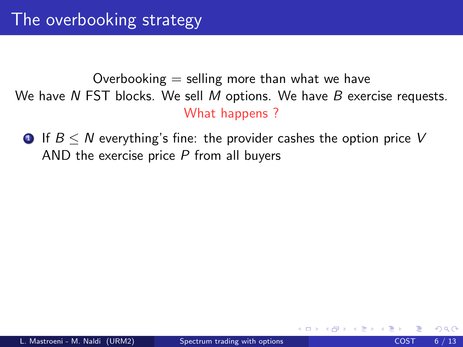**1** If  $B \leq N$  everything's fine: the provider cashes the option price V AND the exercise price  $P$  from all buyers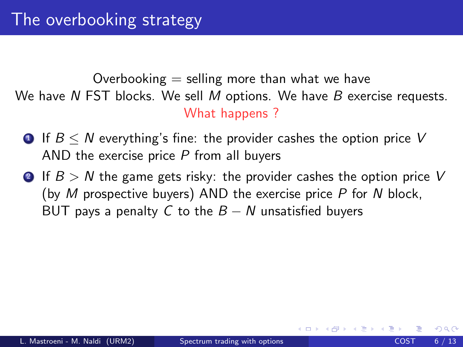- **1** If  $B \leq N$  everything's fine: the provider cashes the option price V AND the exercise price  $P$  from all buyers
- **2** If  $B > N$  the game gets risky: the provider cashes the option price V (by M prospective buyers) AND the exercise price  $P$  for N block, BUT pays a penalty C to the  $B - N$  unsatisfied buyers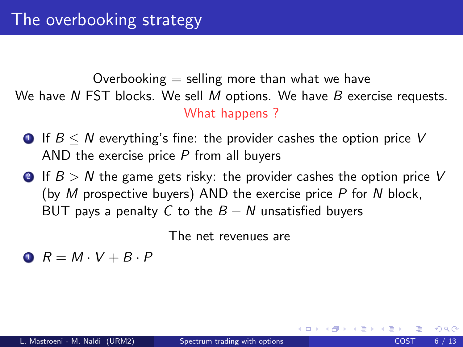- **1** If  $B \leq N$  everything's fine: the provider cashes the option price V AND the exercise price  $P$  from all buyers
- **2** If  $B > N$  the game gets risky: the provider cashes the option price V (by  $M$  prospective buyers) AND the exercise price  $P$  for  $N$  block, BUT pays a penalty C to the  $B - N$  unsatisfied buyers

The net revenues are

 $R = M \cdot V + B \cdot P$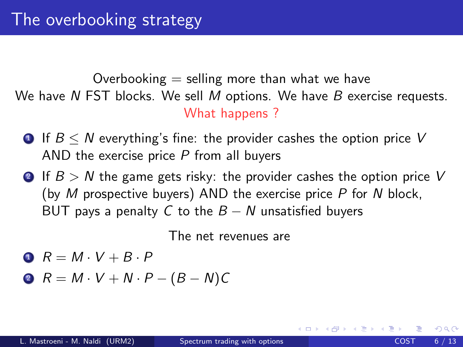- **1** If  $B \leq N$  everything's fine: the provider cashes the option price V AND the exercise price  $P$  from all buyers
- **2** If  $B > N$  the game gets risky: the provider cashes the option price V (by  $M$  prospective buyers) AND the exercise price  $P$  for  $N$  block, BUT pays a penalty C to the  $B - N$  unsatisfied buyers

The net revenues are

$$
R = M \cdot V + B \cdot P
$$

$$
P = M \cdot V + N \cdot P - (B - N)C
$$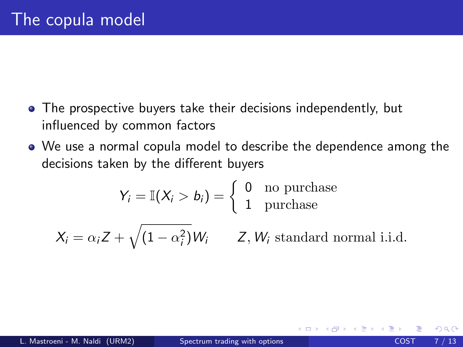- The prospective buyers take their decisions independently, but influenced by common factors
- We use a normal copula model to describe the dependence among the decisions taken by the different buyers

$$
Y_i = \mathbb{I}(X_i > b_i) = \begin{cases} 0 & \text{no purchase} \\ 1 & \text{purchase} \end{cases}
$$

 $X_i = \alpha_i Z + \sqrt{(1 - \alpha_i^2)} W_i$  Z, W<sub>i</sub> standard normal i.i.d.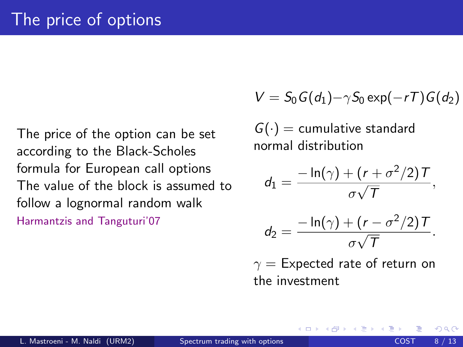The price of the option can be set according to the Black-Scholes formula for European call options The value of the block is assumed to follow a lognormal random walk Harmantzis and Tanguturi'07

$$
V = S_0 G(d_1) - \gamma S_0 \exp(-rT) G(d_2)
$$

 $G(\cdot)$  = cumulative standard normal distribution

$$
d_1=\frac{-\ln(\gamma)+(r+\sigma^2/2)\,T}{\sigma\sqrt{T}},
$$

$$
d_2=\frac{-\ln(\gamma)+(r-\sigma^2/2)\,T}{\sigma\sqrt{T}}.
$$

 $\gamma =$  Expected rate of return on the investment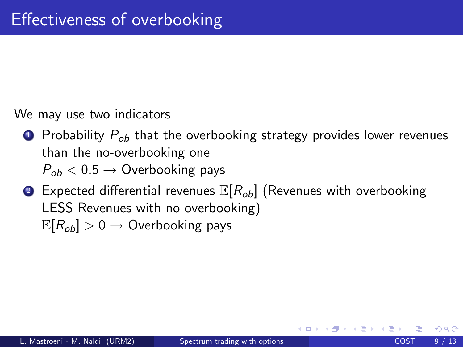We may use two indicators

- **1** Probability  $P_{\alpha b}$  that the overbooking strategy provides lower revenues than the no-overbooking one  $P_{ob}$  < 0.5  $\rightarrow$  Overbooking pays
- **2** Expected differential revenues  $\mathbb{E}[R_{ob}]$  (Revenues with overbooking LESS Revenues with no overbooking)  $\mathbb{E}[R_{\text{ob}}] > 0 \rightarrow$  Overbooking pays

つへへ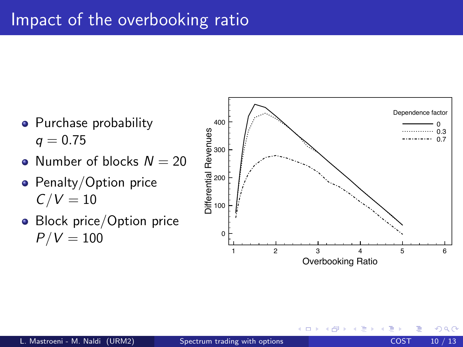

- Number of blocks  $N = 20$
- Penalty/Option price  $C/V = 10$
- **Block price/Option price**  $P/V = 100$



4 **D** F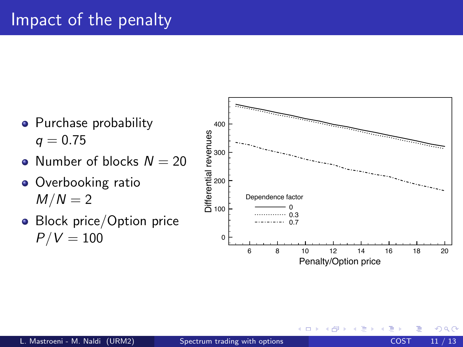## Impact of the penalty



4 D F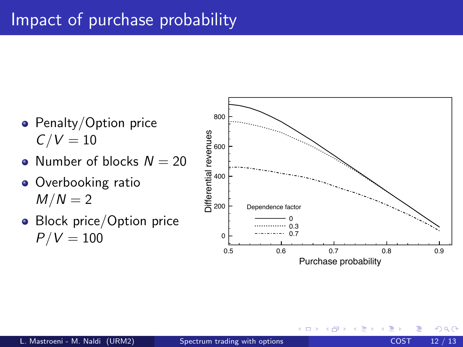## Impact of purchase probability

- Penalty/Option price  $C/V = 10$
- Number of blocks  $N = 20$
- Overbooking ratio  $M/N = 2$
- **Block price/Option price**  $P/V = 100$



4 D F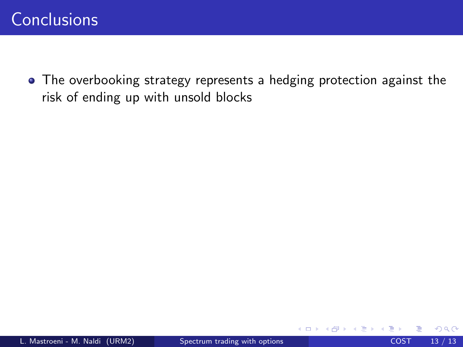• The overbooking strategy represents a hedging protection against the risk of ending up with unsold blocks

 $\leftarrow$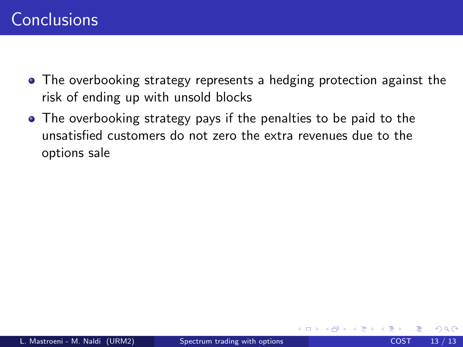- The overbooking strategy represents a hedging protection against the risk of ending up with unsold blocks
- The overbooking strategy pays if the penalties to be paid to the unsatisfied customers do not zero the extra revenues due to the options sale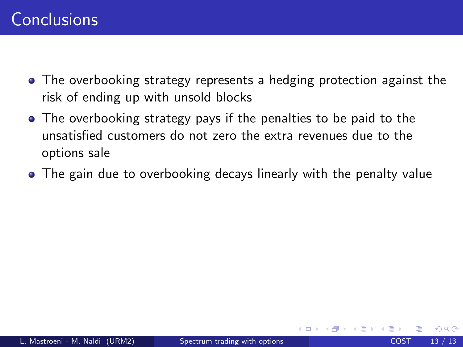- The overbooking strategy represents a hedging protection against the risk of ending up with unsold blocks
- The overbooking strategy pays if the penalties to be paid to the unsatisfied customers do not zero the extra revenues due to the options sale
- The gain due to overbooking decays linearly with the penalty value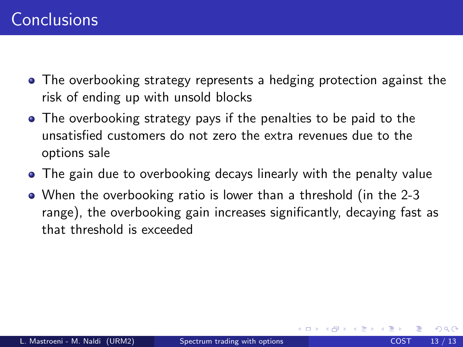- The overbooking strategy represents a hedging protection against the risk of ending up with unsold blocks
- The overbooking strategy pays if the penalties to be paid to the unsatisfied customers do not zero the extra revenues due to the options sale
- The gain due to overbooking decays linearly with the penalty value
- When the overbooking ratio is lower than a threshold (in the 2-3 range), the overbooking gain increases significantly, decaying fast as that threshold is exceeded